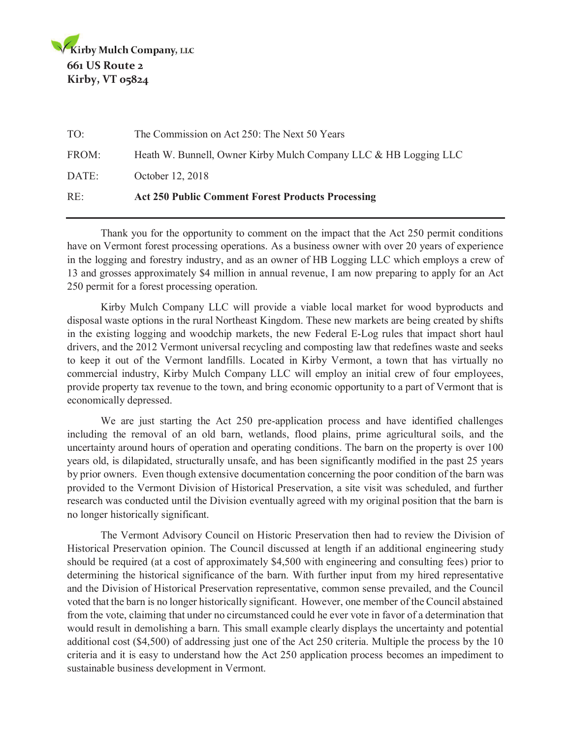| RE:   | <b>Act 250 Public Comment Forest Products Processing</b>         |
|-------|------------------------------------------------------------------|
| DATE: | October 12, 2018                                                 |
| FROM: | Heath W. Bunnell, Owner Kirby Mulch Company LLC & HB Logging LLC |
| $TO+$ | The Commission on Act 250: The Next 50 Years                     |

 Thank you for the opportunity to comment on the impact that the Act 250 permit conditions have on Vermont forest processing operations. As a business owner with over 20 years of experience in the logging and forestry industry, and as an owner of HB Logging LLC which employs a crew of 13 and grosses approximately \$4 million in annual revenue, I am now preparing to apply for an Act 250 permit for a forest processing operation.

 Kirby Mulch Company LLC will provide a viable local market for wood byproducts and disposal waste options in the rural Northeast Kingdom. These new markets are being created by shifts in the existing logging and woodchip markets, the new Federal E-Log rules that impact short haul drivers, and the 2012 Vermont universal recycling and composting law that redefines waste and seeks to keep it out of the Vermont landfills. Located in Kirby Vermont, a town that has virtually no commercial industry, Kirby Mulch Company LLC will employ an initial crew of four employees, provide property tax revenue to the town, and bring economic opportunity to a part of Vermont that is economically depressed.

 We are just starting the Act 250 pre-application process and have identified challenges including the removal of an old barn, wetlands, flood plains, prime agricultural soils, and the uncertainty around hours of operation and operating conditions. The barn on the property is over 100 years old, is dilapidated, structurally unsafe, and has been significantly modified in the past 25 years by prior owners. Even though extensive documentation concerning the poor condition of the barn was provided to the Vermont Division of Historical Preservation, a site visit was scheduled, and further research was conducted until the Division eventually agreed with my original position that the barn is no longer historically significant.

 The Vermont Advisory Council on Historic Preservation then had to review the Division of Historical Preservation opinion. The Council discussed at length if an additional engineering study should be required (at a cost of approximately \$4,500 with engineering and consulting fees) prior to determining the historical significance of the barn. With further input from my hired representative and the Division of Historical Preservation representative, common sense prevailed, and the Council voted that the barn is no longer historically significant. However, one member of the Council abstained from the vote, claiming that under no circumstanced could he ever vote in favor of a determination that would result in demolishing a barn. This small example clearly displays the uncertainty and potential additional cost (\$4,500) of addressing just one of the Act 250 criteria. Multiple the process by the 10 criteria and it is easy to understand how the Act 250 application process becomes an impediment to sustainable business development in Vermont.